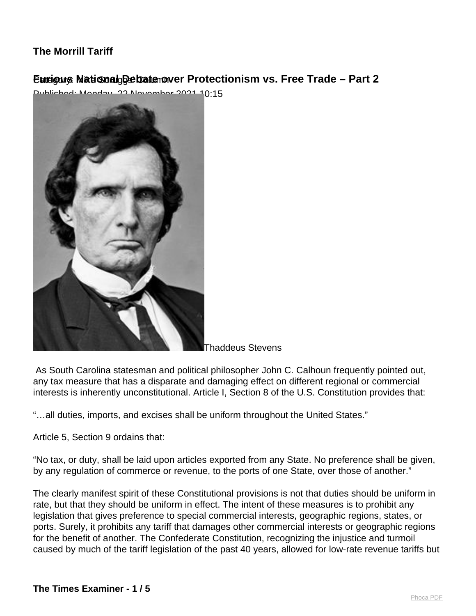# **Eurigus National Debate over Protectionism vs. Free Trade - Part 2**

 $2021.40:15$ 



Thaddeus Stevens

 As South Carolina statesman and political philosopher John C. Calhoun frequently pointed out, any tax measure that has a disparate and damaging effect on different regional or commercial interests is inherently unconstitutional. Article I, Section 8 of the U.S. Constitution provides that:

"…all duties, imports, and excises shall be uniform throughout the United States."

Article 5, Section 9 ordains that:

"No tax, or duty, shall be laid upon articles exported from any State. No preference shall be given, by any regulation of commerce or revenue, to the ports of one State, over those of another."

The clearly manifest spirit of these Constitutional provisions is not that duties should be uniform in rate, but that they should be uniform in effect. The intent of these measures is to prohibit any legislation that gives preference to special commercial interests, geographic regions, states, or ports. Surely, it prohibits any tariff that damages other commercial interests or geographic regions for the benefit of another. The Confederate Constitution, recognizing the injustice and turmoil caused by much of the tariff legislation of the past 40 years, allowed for low-rate revenue tariffs but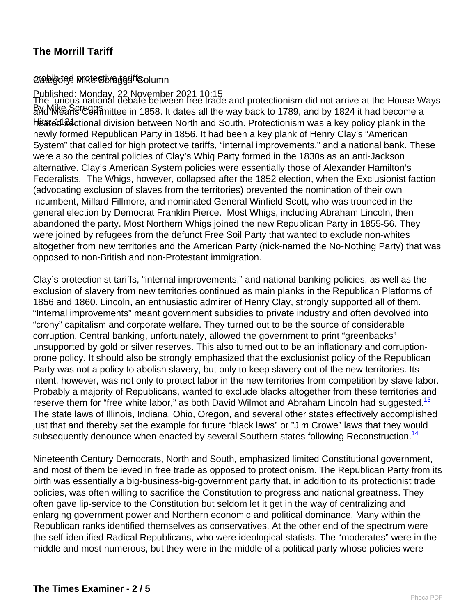#### praleigited Mikte Straggsiff Solumn

#### Published: Monday, 22 November 2021 10:15

BYG MIKE SCREET IN THE COMMITTED THE COMMITTED STATES IN THE COMMITTED IN THE COMMITTED ON THE COMMITTED ON THE COMMITTED ON THE COMMITTED ON THE COMMITTED ON THE COMMITTED ON THE COMMITTED ON THE COMMITTED ON THE COMMITTE hitated 3 actional division between North and South. Protectionism was a key policy plank in the The furious national debate between free trade and protectionism did not arrive at the House Ways newly formed Republican Party in 1856. It had been a key plank of Henry Clay's "American System" that called for high protective tariffs, "internal improvements," and a national bank. These were also the central policies of Clay's Whig Party formed in the 1830s as an anti-Jackson alternative. Clay's American System policies were essentially those of Alexander Hamilton's Federalists. The Whigs, however, collapsed after the 1852 election, when the Exclusionist faction (advocating exclusion of slaves from the territories) prevented the nomination of their own incumbent, Millard Fillmore, and nominated General Winfield Scott, who was trounced in the general election by Democrat Franklin Pierce. Most Whigs, including Abraham Lincoln, then abandoned the party. Most Northern Whigs joined the new Republican Party in 1855-56. They were joined by refugees from the defunct Free Soil Party that wanted to exclude non-whites altogether from new territories and the American Party (nick-named the No-Nothing Party) that was opposed to non-British and non-Protestant immigration.

Clay's protectionist tariffs, "internal improvements," and national banking policies, as well as the exclusion of slavery from new territories continued as main planks in the Republican Platforms of 1856 and 1860. Lincoln, an enthusiastic admirer of Henry Clay, strongly supported all of them. "Internal improvements" meant government subsidies to private industry and often devolved into "crony" capitalism and corporate welfare. They turned out to be the source of considerable corruption. Central banking, unfortunately, allowed the government to print "greenbacks" unsupported by gold or silver reserves. This also turned out to be an inflationary and corruptionprone policy. It should also be strongly emphasized that the exclusionist policy of the Republican Party was not a policy to abolish slavery, but only to keep slavery out of the new territories. Its intent, however, was not only to protect labor in the new territories from competition by slave labor. Probably a majority of Republicans, wanted to exclude blacks altogether from these territories and reserve them for "free white labor," as both David Wilmot and Abraham Lincoln had suggested. $^{13}$ The state laws of Illinois, Indiana, Ohio, Oregon, and several other states effectively accomplished just that and thereby set the example for future "black laws" or "Jim Crowe" laws that they would subsequently denounce when enacted by several Southern states following Reconstruction.<sup>14</sup>

Nineteenth Century Democrats, North and South, emphasized limited Constitutional government, and most of them believed in free trade as opposed to protectionism. The Republican Party from its birth was essentially a big-business-big-government party that, in addition to its protectionist trade policies, was often willing to sacrifice the Constitution to progress and national greatness. They often gave lip-service to the Constitution but seldom let it get in the way of centralizing and enlarging government power and Northern economic and political dominance. Many within the Republican ranks identified themselves as conservatives. At the other end of the spectrum were the self-identified Radical Republicans, who were ideological statists. The "moderates" were in the middle and most numerous, but they were in the middle of a political party whose policies were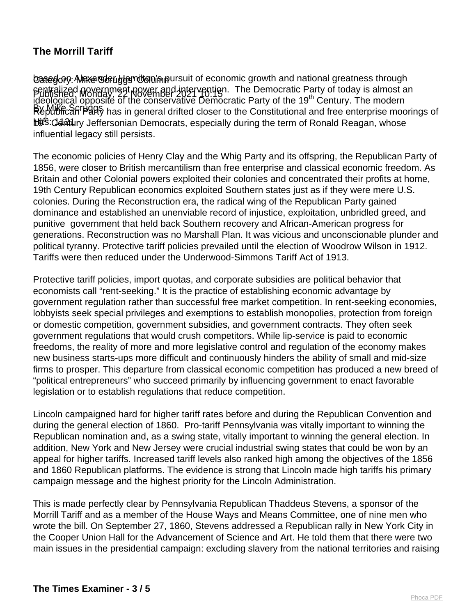basedoy: Maxe steud gamilton'n pursuit of economic growth and national greatness through Published: Monday, 22 November 2021 10:15 centralized government power and intervention. The Democratic Party of today is almost an Republican Party has in general drifted closer to the Constitutional and free enterprise moorings of hots: Odatury Jeffersonian Democrats, especially during the term of Ronald Reagan, whose r divisitied, worlday, 22 November 2021 10.15<br>Ideological opposite of the conservative Democratic Party of the 19<sup>th</sup> Century. The modern influential legacy still persists.

The economic policies of Henry Clay and the Whig Party and its offspring, the Republican Party of 1856, were closer to British mercantilism than free enterprise and classical economic freedom. As Britain and other Colonial powers exploited their colonies and concentrated their profits at home, 19th Century Republican economics exploited Southern states just as if they were mere U.S. colonies. During the Reconstruction era, the radical wing of the Republican Party gained dominance and established an unenviable record of injustice, exploitation, unbridled greed, and punitive government that held back Southern recovery and African-American progress for generations. Reconstruction was no Marshall Plan. It was vicious and unconscionable plunder and political tyranny. Protective tariff policies prevailed until the election of Woodrow Wilson in 1912. Tariffs were then reduced under the Underwood-Simmons Tariff Act of 1913.

Protective tariff policies, import quotas, and corporate subsidies are political behavior that economists call "rent-seeking." It is the practice of establishing economic advantage by government regulation rather than successful free market competition. In rent-seeking economies, lobbyists seek special privileges and exemptions to establish monopolies, protection from foreign or domestic competition, government subsidies, and government contracts. They often seek government regulations that would crush competitors. While lip-service is paid to economic freedoms, the reality of more and more legislative control and regulation of the economy makes new business starts-ups more difficult and continuously hinders the ability of small and mid-size firms to prosper. This departure from classical economic competition has produced a new breed of "political entrepreneurs" who succeed primarily by influencing government to enact favorable legislation or to establish regulations that reduce competition.

Lincoln campaigned hard for higher tariff rates before and during the Republican Convention and during the general election of 1860. Pro-tariff Pennsylvania was vitally important to winning the Republican nomination and, as a swing state, vitally important to winning the general election. In addition, New York and New Jersey were crucial industrial swing states that could be won by an appeal for higher tariffs. Increased tariff levels also ranked high among the objectives of the 1856 and 1860 Republican platforms. The evidence is strong that Lincoln made high tariffs his primary campaign message and the highest priority for the Lincoln Administration.

This is made perfectly clear by Pennsylvania Republican Thaddeus Stevens, a sponsor of the Morrill Tariff and as a member of the House Ways and Means Committee, one of nine men who wrote the bill. On September 27, 1860, Stevens addressed a Republican rally in New York City in the Cooper Union Hall for the Advancement of Science and Art. He told them that there were two main issues in the presidential campaign: excluding slavery from the national territories and raising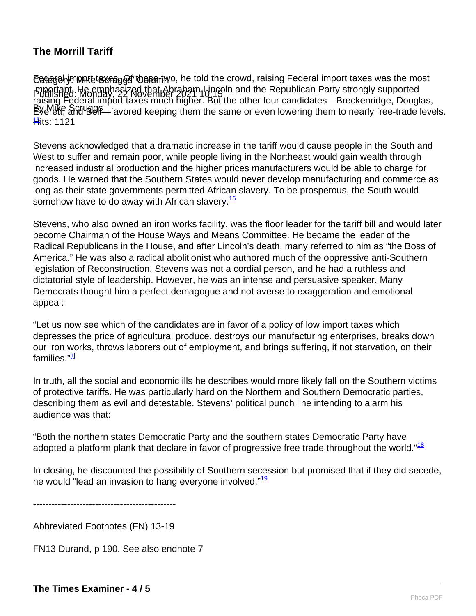Category: Mike Scruggs' Column Federal import taxes. Of these two, he told the crowd, raising Federal import taxes was the most Published: Monday, 22 November 2021 10:15 important. He emphasized that Abraham Lincoln and the Republican Party strongly supported By Mike Scripger-favored keeping them the same or even lowering them to nearly free-trade levels. <del>l¶</del>its: 1121 raising Federal import taxes much higher. But the other four candidates—Breckenridge, Douglas,

Stevens acknowledged that a dramatic increase in the tariff would cause people in the South and West to suffer and remain poor, while people living in the Northeast would gain wealth through increased industrial production and the higher prices manufacturers would be able to charge for goods. He warned that the Southern States would never develop manufacturing and commerce as long as their state governments permitted African slavery. To be prosperous, the South would somehow have to do away with African slavery.<sup>16</sup>

Stevens, who also owned an iron works facility, was the floor leader for the tariff bill and would later become Chairman of the House Ways and Means Committee. He became the leader of the Radical Republicans in the House, and after Lincoln's death, many referred to him as "the Boss of America." He was also a radical abolitionist who authored much of the oppressive anti-Southern legislation of Reconstruction. Stevens was not a cordial person, and he had a ruthless and dictatorial style of leadership. However, he was an intense and persuasive speaker. Many Democrats thought him a perfect demagogue and not averse to exaggeration and emotional appeal:

"Let us now see which of the candidates are in favor of a policy of low import taxes which depresses the price of agricultural produce, destroys our manufacturing enterprises, breaks down our iron works, throws laborers out of employment, and brings suffering, if not starvation, on their families."<sup>[i]</sup>

In truth, all the social and economic ills he describes would more likely fall on the Southern victims of protective tariffs. He was particularly hard on the Northern and Southern Democratic parties, describing them as evil and detestable. Stevens' political punch line intending to alarm his audience was that:

"Both the northern states Democratic Party and the southern states Democratic Party have adopted a platform plank that declare in favor of progressive free trade throughout the world."<sup>18</sup>

In closing, he discounted the possibility of Southern secession but promised that if they did secede, he would "lead an invasion to hang everyone involved."<sup>19</sup>

----------------------------------------------

Abbreviated Footnotes (FN) 13-19

FN13 Durand, p 190. See also endnote 7